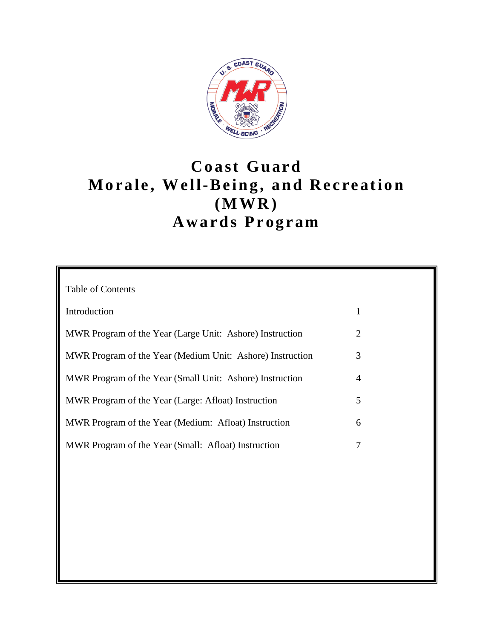

# **Coast Guard Morale, Well-Being, and Recreation (MWR) Awards Program**

| <b>Table of Contents</b>                                  |                |
|-----------------------------------------------------------|----------------|
|                                                           |                |
| Introduction                                              | $\mathbf{1}$   |
|                                                           |                |
| MWR Program of the Year (Large Unit: Ashore) Instruction  | $\overline{2}$ |
|                                                           |                |
| MWR Program of the Year (Medium Unit: Ashore) Instruction | 3              |
|                                                           |                |
| MWR Program of the Year (Small Unit: Ashore) Instruction  | $\overline{4}$ |
|                                                           |                |
| MWR Program of the Year (Large: Afloat) Instruction       | 5              |
|                                                           |                |
| MWR Program of the Year (Medium: Afloat) Instruction      | 6              |
|                                                           |                |
| MWR Program of the Year (Small: Afloat) Instruction       | 7              |
|                                                           |                |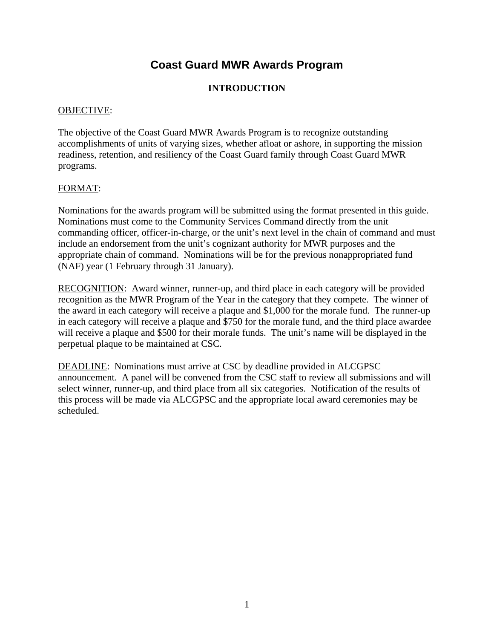# **INTRODUCTION**

### OBJECTIVE:

The objective of the Coast Guard MWR Awards Program is to recognize outstanding accomplishments of units of varying sizes, whether afloat or ashore, in supporting the mission readiness, retention, and resiliency of the Coast Guard family through Coast Guard MWR programs.

## FORMAT:

Nominations for the awards program will be submitted using the format presented in this guide. Nominations must come to the Community Services Command directly from the unit commanding officer, officer-in-charge, or the unit's next level in the chain of command and must include an endorsement from the unit's cognizant authority for MWR purposes and the appropriate chain of command. Nominations will be for the previous nonappropriated fund (NAF) year (1 February through 31 January).

RECOGNITION: Award winner, runner-up, and third place in each category will be provided recognition as the MWR Program of the Year in the category that they compete. The winner of the award in each category will receive a plaque and \$1,000 for the morale fund. The runner-up in each category will receive a plaque and \$750 for the morale fund, and the third place awardee will receive a plaque and \$500 for their morale funds. The unit's name will be displayed in the perpetual plaque to be maintained at CSC.

DEADLINE: Nominations must arrive at CSC by deadline provided in ALCGPSC announcement. A panel will be convened from the CSC staff to review all submissions and will select winner, runner-up, and third place from all six categories. Notification of the results of this process will be made via ALCGPSC and the appropriate local award ceremonies may be scheduled.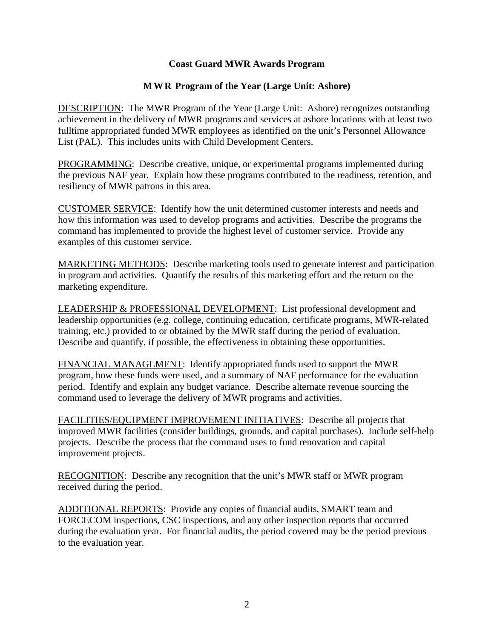#### **MWR Program of the Year (Large Unit: Ashore)**

DESCRIPTION: The MWR Program of the Year (Large Unit: Ashore) recognizes outstanding achievement in the delivery of MWR programs and services at ashore locations with at least two fulltime appropriated funded MWR employees as identified on the unit's Personnel Allowance List (PAL). This includes units with Child Development Centers.

PROGRAMMING: Describe creative, unique, or experimental programs implemented during the previous NAF year. Explain how these programs contributed to the readiness, retention, and resiliency of MWR patrons in this area.

CUSTOMER SERVICE: Identify how the unit determined customer interests and needs and how this information was used to develop programs and activities. Describe the programs the command has implemented to provide the highest level of customer service. Provide any examples of this customer service.

MARKETING METHODS: Describe marketing tools used to generate interest and participation in program and activities. Quantify the results of this marketing effort and the return on the marketing expenditure.

LEADERSHIP & PROFESSIONAL DEVELOPMENT: List professional development and leadership opportunities (e.g. college, continuing education, certificate programs, MWR-related training, etc.) provided to or obtained by the MWR staff during the period of evaluation. Describe and quantify, if possible, the effectiveness in obtaining these opportunities.

FINANCIAL MANAGEMENT: Identify appropriated funds used to support the MWR program, how these funds were used, and a summary of NAF performance for the evaluation period. Identify and explain any budget variance. Describe alternate revenue sourcing the command used to leverage the delivery of MWR programs and activities.

FACILITIES/EQUIPMENT IMPROVEMENT INITIATIVES: Describe all projects that improved MWR facilities (consider buildings, grounds, and capital purchases). Include self-help projects. Describe the process that the command uses to fund renovation and capital improvement projects.

RECOGNITION: Describe any recognition that the unit's MWR staff or MWR program received during the period.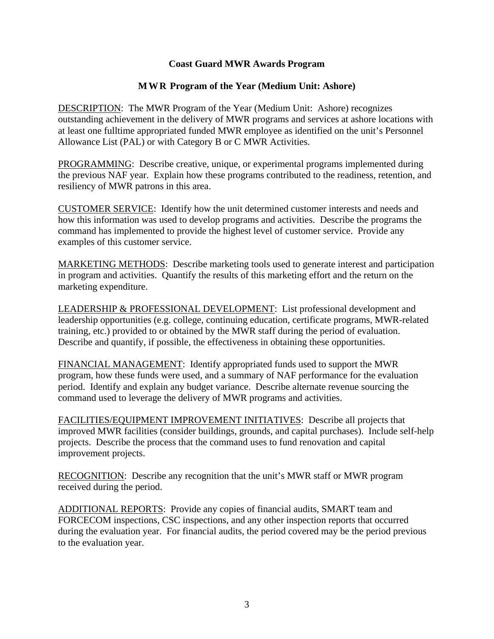#### **MWR Program of the Year (Medium Unit: Ashore)**

DESCRIPTION: The MWR Program of the Year (Medium Unit: Ashore) recognizes outstanding achievement in the delivery of MWR programs and services at ashore locations with at least one fulltime appropriated funded MWR employee as identified on the unit's Personnel Allowance List (PAL) or with Category B or C MWR Activities.

PROGRAMMING: Describe creative, unique, or experimental programs implemented during the previous NAF year. Explain how these programs contributed to the readiness, retention, and resiliency of MWR patrons in this area.

CUSTOMER SERVICE: Identify how the unit determined customer interests and needs and how this information was used to develop programs and activities. Describe the programs the command has implemented to provide the highest level of customer service. Provide any examples of this customer service.

MARKETING METHODS: Describe marketing tools used to generate interest and participation in program and activities. Quantify the results of this marketing effort and the return on the marketing expenditure.

LEADERSHIP & PROFESSIONAL DEVELOPMENT: List professional development and leadership opportunities (e.g. college, continuing education, certificate programs, MWR-related training, etc.) provided to or obtained by the MWR staff during the period of evaluation. Describe and quantify, if possible, the effectiveness in obtaining these opportunities.

FINANCIAL MANAGEMENT: Identify appropriated funds used to support the MWR program, how these funds were used, and a summary of NAF performance for the evaluation period. Identify and explain any budget variance. Describe alternate revenue sourcing the command used to leverage the delivery of MWR programs and activities.

FACILITIES/EQUIPMENT IMPROVEMENT INITIATIVES: Describe all projects that improved MWR facilities (consider buildings, grounds, and capital purchases). Include self-help projects. Describe the process that the command uses to fund renovation and capital improvement projects.

RECOGNITION: Describe any recognition that the unit's MWR staff or MWR program received during the period.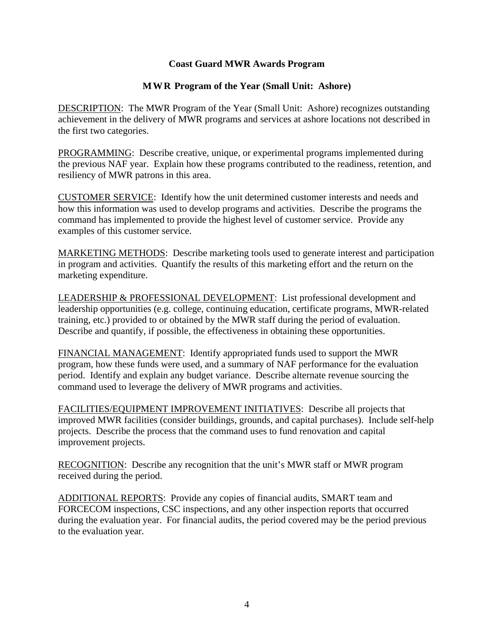#### **MWR Program of the Year (Small Unit: Ashore)**

DESCRIPTION: The MWR Program of the Year (Small Unit: Ashore) recognizes outstanding achievement in the delivery of MWR programs and services at ashore locations not described in the first two categories.

PROGRAMMING: Describe creative, unique, or experimental programs implemented during the previous NAF year. Explain how these programs contributed to the readiness, retention, and resiliency of MWR patrons in this area.

CUSTOMER SERVICE: Identify how the unit determined customer interests and needs and how this information was used to develop programs and activities. Describe the programs the command has implemented to provide the highest level of customer service. Provide any examples of this customer service.

MARKETING METHODS: Describe marketing tools used to generate interest and participation in program and activities. Quantify the results of this marketing effort and the return on the marketing expenditure.

LEADERSHIP & PROFESSIONAL DEVELOPMENT: List professional development and leadership opportunities (e.g. college, continuing education, certificate programs, MWR-related training, etc.) provided to or obtained by the MWR staff during the period of evaluation. Describe and quantify, if possible, the effectiveness in obtaining these opportunities.

FINANCIAL MANAGEMENT: Identify appropriated funds used to support the MWR program, how these funds were used, and a summary of NAF performance for the evaluation period. Identify and explain any budget variance. Describe alternate revenue sourcing the command used to leverage the delivery of MWR programs and activities.

FACILITIES/EQUIPMENT IMPROVEMENT INITIATIVES: Describe all projects that improved MWR facilities (consider buildings, grounds, and capital purchases). Include self-help projects. Describe the process that the command uses to fund renovation and capital improvement projects.

RECOGNITION: Describe any recognition that the unit's MWR staff or MWR program received during the period.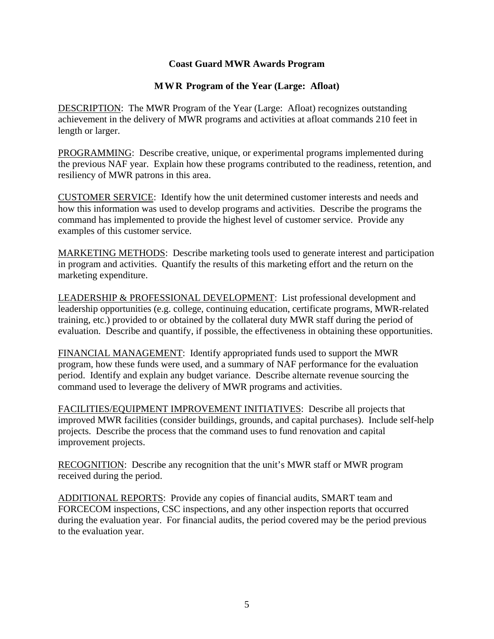#### **MWR Program of the Year (Large: Afloat)**

DESCRIPTION: The MWR Program of the Year (Large: Afloat) recognizes outstanding achievement in the delivery of MWR programs and activities at afloat commands 210 feet in length or larger.

PROGRAMMING: Describe creative, unique, or experimental programs implemented during the previous NAF year. Explain how these programs contributed to the readiness, retention, and resiliency of MWR patrons in this area.

CUSTOMER SERVICE: Identify how the unit determined customer interests and needs and how this information was used to develop programs and activities. Describe the programs the command has implemented to provide the highest level of customer service. Provide any examples of this customer service.

MARKETING METHODS: Describe marketing tools used to generate interest and participation in program and activities. Quantify the results of this marketing effort and the return on the marketing expenditure.

LEADERSHIP & PROFESSIONAL DEVELOPMENT: List professional development and leadership opportunities (e.g. college, continuing education, certificate programs, MWR-related training, etc.) provided to or obtained by the collateral duty MWR staff during the period of evaluation. Describe and quantify, if possible, the effectiveness in obtaining these opportunities.

FINANCIAL MANAGEMENT: Identify appropriated funds used to support the MWR program, how these funds were used, and a summary of NAF performance for the evaluation period. Identify and explain any budget variance. Describe alternate revenue sourcing the command used to leverage the delivery of MWR programs and activities.

FACILITIES/EQUIPMENT IMPROVEMENT INITIATIVES: Describe all projects that improved MWR facilities (consider buildings, grounds, and capital purchases). Include self-help projects. Describe the process that the command uses to fund renovation and capital improvement projects.

RECOGNITION: Describe any recognition that the unit's MWR staff or MWR program received during the period.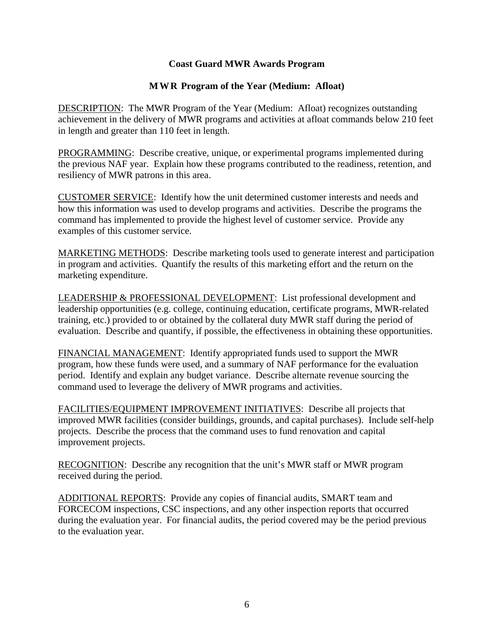#### **MWR Program of the Year (Medium: Afloat)**

DESCRIPTION: The MWR Program of the Year (Medium: Afloat) recognizes outstanding achievement in the delivery of MWR programs and activities at afloat commands below 210 feet in length and greater than 110 feet in length.

PROGRAMMING: Describe creative, unique, or experimental programs implemented during the previous NAF year. Explain how these programs contributed to the readiness, retention, and resiliency of MWR patrons in this area.

CUSTOMER SERVICE: Identify how the unit determined customer interests and needs and how this information was used to develop programs and activities. Describe the programs the command has implemented to provide the highest level of customer service. Provide any examples of this customer service.

MARKETING METHODS: Describe marketing tools used to generate interest and participation in program and activities. Quantify the results of this marketing effort and the return on the marketing expenditure.

LEADERSHIP & PROFESSIONAL DEVELOPMENT: List professional development and leadership opportunities (e.g. college, continuing education, certificate programs, MWR-related training, etc.) provided to or obtained by the collateral duty MWR staff during the period of evaluation. Describe and quantify, if possible, the effectiveness in obtaining these opportunities.

FINANCIAL MANAGEMENT: Identify appropriated funds used to support the MWR program, how these funds were used, and a summary of NAF performance for the evaluation period. Identify and explain any budget variance. Describe alternate revenue sourcing the command used to leverage the delivery of MWR programs and activities.

FACILITIES/EQUIPMENT IMPROVEMENT INITIATIVES: Describe all projects that improved MWR facilities (consider buildings, grounds, and capital purchases). Include self-help projects. Describe the process that the command uses to fund renovation and capital improvement projects.

RECOGNITION: Describe any recognition that the unit's MWR staff or MWR program received during the period.